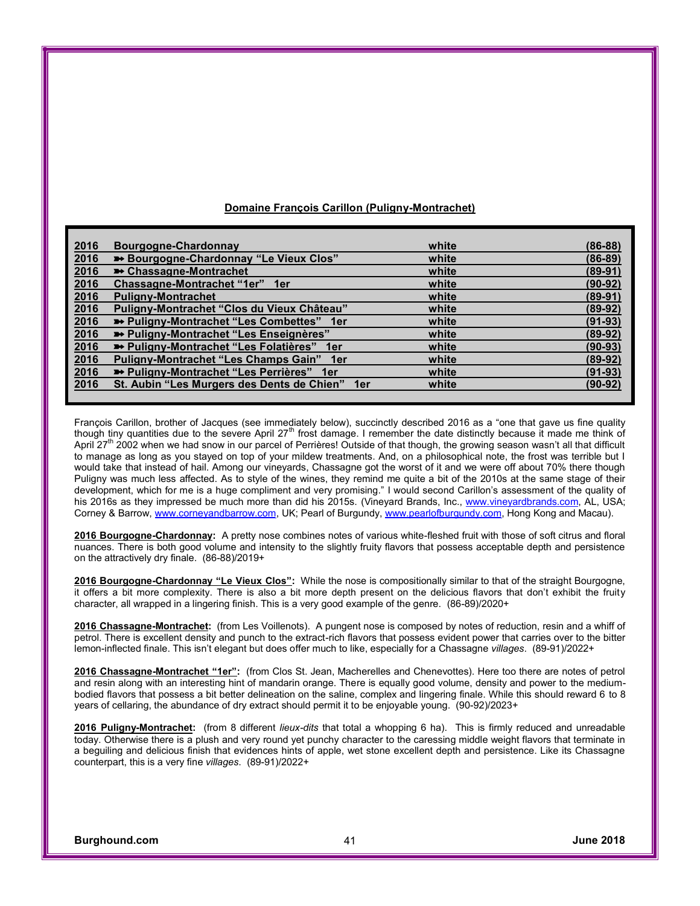| 2016 | Bourgogne-Chardonnay                             | white | $(86-88)$ |
|------|--------------------------------------------------|-------|-----------|
| 2016 | Bourgogne-Chardonnay "Le Vieux Clos"             | white | $(86-89)$ |
| 2016 | <b>■ Chassagne-Montrachet</b>                    | white | $(89-91)$ |
| 2016 | Chassagne-Montrachet "1er" 1er                   | white | $(90-92)$ |
| 2016 | <b>Puligny-Montrachet</b>                        | white | $(89-91)$ |
| 2016 | Puligny-Montrachet "Clos du Vieux Château"       | white | $(89-92)$ |
| 2016 | <b>■ Puligny-Montrachet "Les Combettes" 1er</b>  | white | $(91-93)$ |
| 2016 | ■ Puligny-Montrachet "Les Enseignères"           | white | $(89-92)$ |
| 2016 | <b>■ Puligny-Montrachet "Les Folatières"</b> 1er | white | $(90-93)$ |
| 2016 | Puligny-Montrachet "Les Champs Gain" 1er         | white | $(89-92)$ |
| 2016 | → Puligny-Montrachet "Les Perrières" 1er         | white | $(91-93)$ |
| 2016 | St. Aubin "Les Murgers des Dents de Chien" 1er   | white | $(90-92)$ |
|      |                                                  |       |           |

## **Domaine François Carillon (Puligny-Montrachet)**

François Carillon, brother of Jacques (see immediately below), succinctly described 2016 as a "one that gave us fine quality though tiny quantities due to the severe April 27<sup>th</sup> frost damage. I remember the date distinctly because it made me think of April 27<sup>th</sup> 2002 when we had snow in our parcel of Perrières! Outside of that though, the growing season wasn't all that difficult to manage as long as you stayed on top of your mildew treatments. And, on a philosophical note, the frost was terrible but I would take that instead of hail. Among our vineyards, Chassagne got the worst of it and we were off about 70% there though Puligny was much less affected. As to style of the wines, they remind me quite a bit of the 2010s at the same stage of their development, which for me is a huge compliment and very promising." I would second Carillon's assessment of the quality of his 2016s as they impressed be much more than did his 2015s. (Vineyard Brands, Inc., [www.vineyardbrands.com](http://www.vineyardbrands.com), AL, USA; Corney & Barrow, [www.corneyandbarrow.com](http://www.corneyandbarrow.com), UK; Pearl of Burgundy, [www.pearlofburgundy.com](http://www.pearlofburgundy.com), Hong Kong and Macau).

**2016 Bourgogne-Chardonnay:** A pretty nose combines notes of various white-fleshed fruit with those of soft citrus and floral nuances. There is both good volume and intensity to the slightly fruity flavors that possess acceptable depth and persistence on the attractively dry finale. (86-88)/2019+

**2016 Bourgogne-Chardonnay** "Le Vieux Clos"**:** While the nose is compositionally similar to that of the straight Bourgogne, it offers a bit more complexity. There is also a bit more depth present on the delicious flavors that don't exhibit the fruity character, all wrapped in a lingering finish. This is a very good example of the genre. (86-89)/2020+

**2016 Chassagne-Montrachet:** (from Les Voillenots). A pungent nose is composed by notes of reduction, resin and a whiff of petrol. There is excellent density and punch to the extract-rich flavors that possess evident power that carries over to the bitter lemon-inflected finale. This isn't elegant but does offer much to like, especially for a Chassagne *villages*. (89-91)/2022+

**2016 Chassagne-Montrachet** "1er"**:** (from Clos St. Jean, Macherelles and Chenevottes). Here too there are notes of petrol and resin along with an interesting hint of mandarin orange. There is equally good volume, density and power to the mediumbodied flavors that possess a bit better delineation on the saline, complex and lingering finale. While this should reward 6 to 8 years of cellaring, the abundance of dry extract should permit it to be enjoyable young. (90-92)/2023+

**2016 Puligny-Montrachet:** (from 8 different *lieux-dits* that total a whopping 6 ha). This is firmly reduced and unreadable today. Otherwise there is a plush and very round yet punchy character to the caressing middle weight flavors that terminate in a beguiling and delicious finish that evidences hints of apple, wet stone excellent depth and persistence. Like its Chassagne counterpart, this is a very fine *villages*. (89-91)/2022+